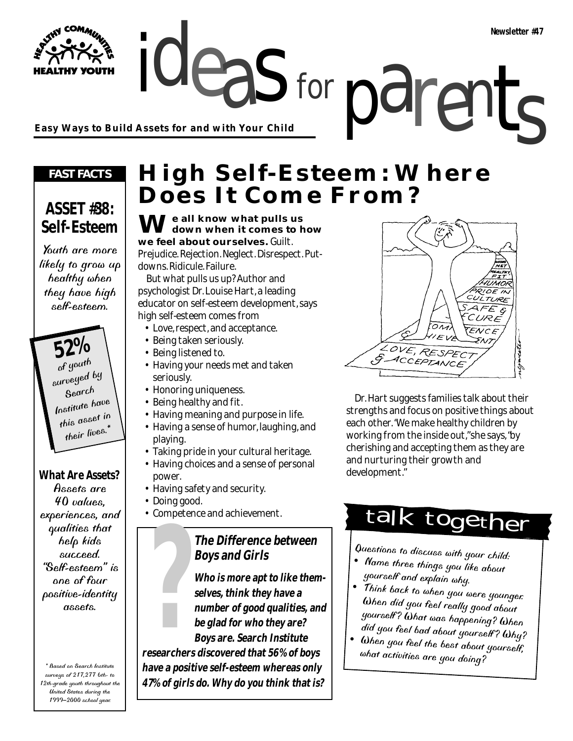ideas for parents **Easy Ways to Build Assets for and with Your Child**

#### *FAST FACTS*

#### **ASSET #38: Self-Esteem**

Youth are more likely to grow up healthy when they have high self-esteem.

> **52%** surveyed by Search Institute have this asset in their lives.\*

**What Are Assets?**

Assets are 40 values, experiences, and qualities that help kids succeed. "Self-esteem" is one of four positive-identity assets.

\* Based on Search Institute surveys of 217,277 6th- to 12th-grade youth throughout the United States during the 1999–2000 school year.

## **High Self-Esteem: Where Does It Come From?**

for

**We all know what pulls us down when it comes to how we feel about ourselves.** Guilt. Prejudice. Rejection. Neglect. Disrespect. Putdowns. Ridicule. Failure.

But what pulls us up? Author and psychologist Dr. Louise Hart, a leading educator on self-esteem development, says high self-esteem comes from

- Love, respect, and acceptance.
- Being taken seriously.
- Being listened to.
- Having your needs met and taken seriously.
- Honoring uniqueness.
- Being healthy and fit.
- Having meaning and purpose in life.
- Having a sense of humor, laughing, and playing.
- Taking pride in your cultural heritage.
- Having choices and a sense of personal power.
- Having safety and security.
- Doing good.
- Competence and achievement.

#### **The Difference between Boys and Girls**

**Who is more apt to like themselves, think they have a number of good qualities, and be glad for who they are? Boys are. Search Institute researchers discovered that 56% of boys have a positive self-esteem whereas only 47% of girls do. Why do you think that is? Poys and Girls**<br> **Poys and Girls**<br> **Poys and Girls**<br> **80ys and Girls**<br> **19**  $\mu$  of the the things you like about<br> **19**  $\mu$  of the things you like about<br> **19**  $\mu$  of the things you like about<br> **19**  $\mu$  of the that of t

# ENCE LOVE, RESPEC ACCEPTANCE

Dr. Hart suggests families talk about their strengths and focus on positive things about each other. "We make healthy children by working from the inside out," she says, "by cherishing and accepting them as they are and nurturing their growth and development."

## talk together

- Questions to discuss with your child:<br>• Name three things you like about yourself and explain why.
- Think back to when you were younger. When did you feel really good about yourself ? What was happening? When did you feel bad about yourself ? Why?
- When you feel the best about yourself, what activities are you doing?